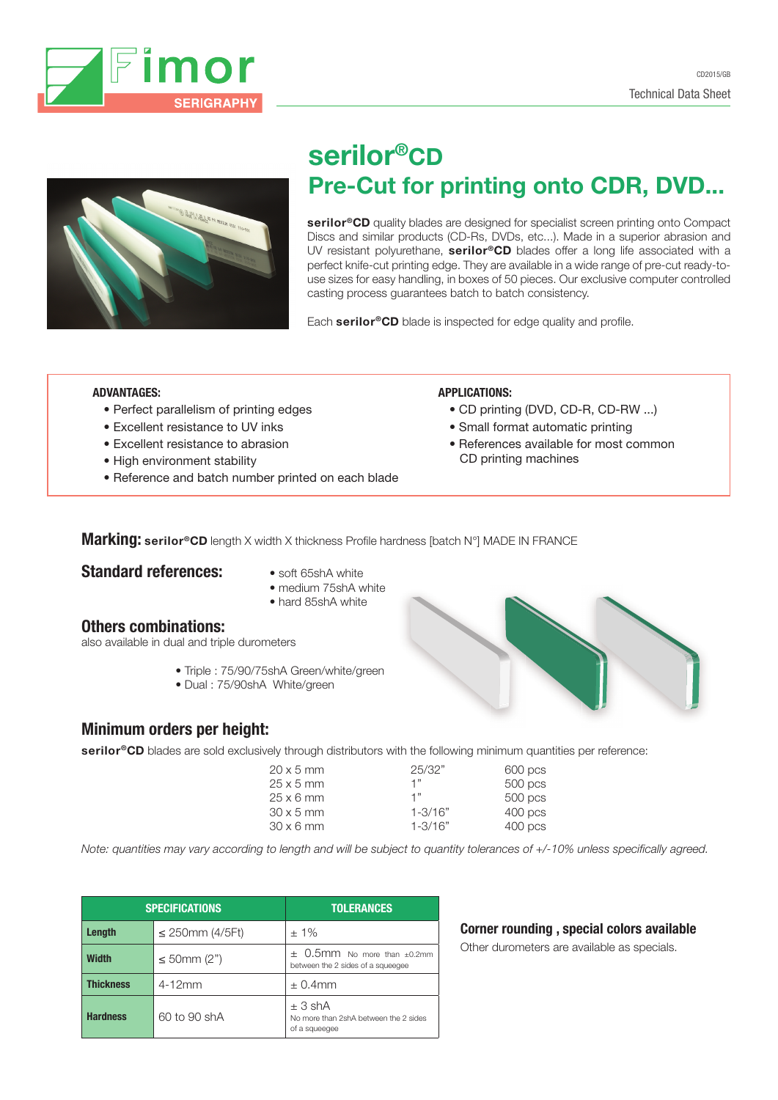



# serilor®CD Pre-Cut for printing onto CDR, DVD...

serilor<sup>®</sup>CD quality blades are designed for specialist screen printing onto Compact Discs and similar products (CD-Rs, DVDs, etc...). Made in a superior abrasion and UV resistant polyurethane, serilor®CD blades offer a long life associated with a perfect knife-cut printing edge. They are available in a wide range of pre-cut ready-touse sizes for easy handling, in boxes of 50 pieces. Our exclusive computer controlled casting process guarantees batch to batch consistency.

Each serilor®CD blade is inspected for edge quality and profile.

## ADVANTAGES:

- Perfect parallelism of printing edges
- Excellent resistance to UV inks
- Excellent resistance to abrasion
- High environment stability
- Reference and batch number printed on each blade

#### APPLICATIONS:

- CD printing (DVD, CD-R, CD-RW ...)
- Small format automatic printing
- References available for most common CD printing machines

**Marking: serilor®CD** length X width X thickness Profile hardness [batch N°] MADE IN FRANCE

# **Standard references:** • soft 65shA white

- 
- medium 75shA white • hard 85shA white

## Others combinations:

also available in dual and triple durometers

- Triple : 75/90/75shA Green/white/green
- Dual : 75/90shA White/green



# Minimum orders per height:

serilor<sup>®</sup>CD blades are sold exclusively through distributors with the following minimum quantities per reference:

| $20 \times 5$ mm | 25/32"      | $600$ pcs |
|------------------|-------------|-----------|
| $25 \times 5$ mm | יי 1        | 500 pcs   |
| $25 \times 6$ mm | 1"          | 500 pcs   |
| $30 \times 5$ mm | $1 - 3/16"$ | $400$ pcs |
| $30 \times 6$ mm | $1 - 3/16"$ | $400$ pcs |

*Note: quantities may vary according to length and will be subject to quantity tolerances of +/-10% unless specifically agreed.*

| <b>SPECIFICATIONS</b> |                   | <b>TOLERANCES</b>                                                         |  |  |
|-----------------------|-------------------|---------------------------------------------------------------------------|--|--|
| Length                | ≤ 250mm $(4/5Ft)$ | $±1\%$                                                                    |  |  |
| <b>Width</b>          | ≤ 50mm $(2")$     | $\pm$ 0.5mm No more than $\pm$ 0.2mm<br>between the 2 sides of a squeeqee |  |  |
| <b>Thickness</b>      | $4-12mm$          | $\pm$ 0.4mm                                                               |  |  |
| <b>Hardness</b>       | 60 to 90 shA      | ± 3 shA<br>No more than 2shA between the 2 sides<br>of a squeegee         |  |  |

# Corner rounding , special colors available

Other durometers are available as specials.